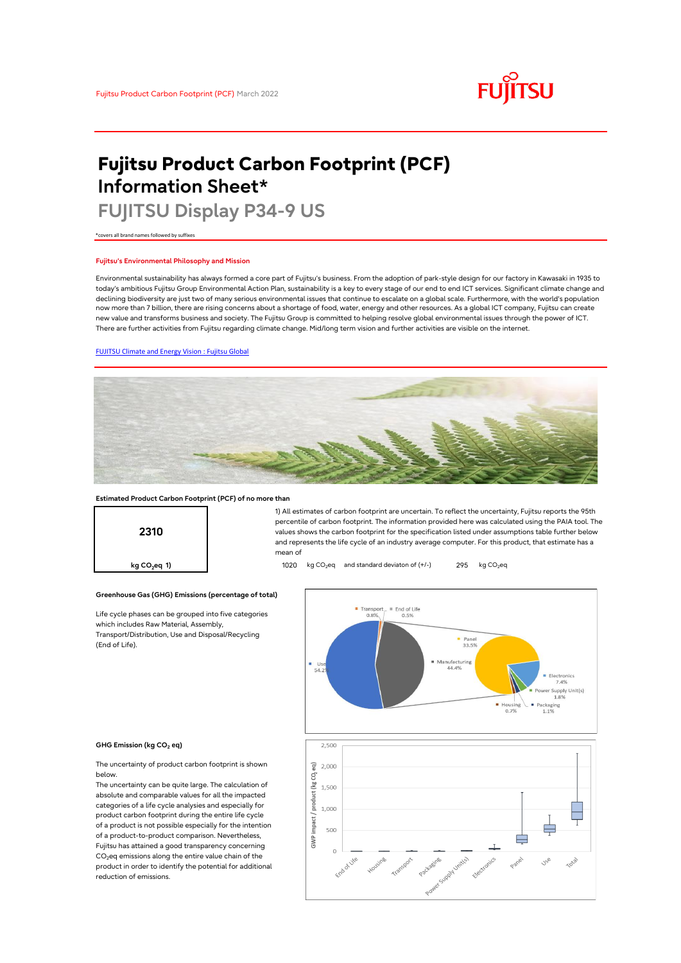# **FUJITSU**

# **Fujitsu Product Carbon Footprint (PCF) Information Sheet\***

# **FUJITSU Display P34-9 US**

\*covers all brand names followed by suffixes

## **Fujitsu's Environmental Philosophy and Mission**

Environmental sustainability has always formed a core part of Fujitsu's business. From the adoption of park-style design for our factory in Kawasaki in 1935 to today's ambitious Fujitsu Group Environmental Action Plan, sustainability is a key to every stage of our end to end ICT services. Significant climate change and declining biodiversity are just two of many serious environmental issues that continue to escalate on a global scale. Furthermore, with the world's population now more than 7 billion, there are rising concerns about a shortage of food, water, energy and other resources. As a global ICT company, Fujitsu can create new value and transforms business and society. The Fujitsu Group is committed to helping resolve global environmental issues through the power of ICT. There are further activities from Fujitsu regarding climate change. Mid/long term vision and further activities are visible on the internet.

# [FUJITSU Climate and Energy Vision : Fujitsu Global](https://www.fujitsu.com/global/about/environment/climate-energy-vision/)



mean of

### **Estimated Product Carbon Footprint (PCF) of no more than**



**Greenhouse Gas (GHG) Emissions (percentage of total)**

Life cycle phases can be grouped into five categories which includes Raw Material, Assembly, Transport/Distribution, Use and Disposal/Recycling (End of Life).



1) All estimates of carbon footprint are uncertain. To reflect the uncertainty, Fujitsu reports the 95th percentile of carbon footprint. The information provided here was calculated using the PAIA tool. The values shows the carbon footprint for the specification listed under assumptions table further below and represents the life cycle of an industry average computer. For this product, that estimate has a

#### **GHG Emission (kg CO<sup>2</sup> eq)**

The uncertainty of product carbon footprint is shown below.

The uncertainty can be quite large. The calculation of absolute and comparable values for all the impacted categories of a life cycle analysies and especially for product carbon footprint during the entire life cycle of a product is not possible especially for the intention of a product-to-product comparison. Nevertheless, Fujitsu has attained a good transparency concerning  $CO<sub>2</sub>$ eq emissions along the entire value chain of the product in order to identify the potential for additional reduction of emissions.